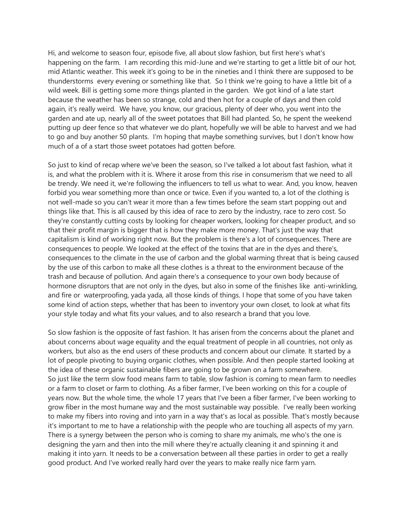Hi, and welcome to season four, episode five, all about slow fashion, but first here's what's happening on the farm. I am recording this mid-June and we're starting to get a little bit of our hot, mid Atlantic weather. This week it's going to be in the nineties and I think there are supposed to be thunderstorms every evening or something like that. So I think we're going to have a little bit of a wild week. Bill is getting some more things planted in the garden. We got kind of a late start because the weather has been so strange, cold and then hot for a couple of days and then cold again, it's really weird. We have, you know, our gracious, plenty of deer who, you went into the garden and ate up, nearly all of the sweet potatoes that Bill had planted. So, he spent the weekend putting up deer fence so that whatever we do plant, hopefully we will be able to harvest and we had to go and buy another 50 plants. I'm hoping that maybe something survives, but I don't know how much of a of a start those sweet potatoes had gotten before.

So just to kind of recap where we've been the season, so I've talked a lot about fast fashion, what it is, and what the problem with it is. Where it arose from this rise in consumerism that we need to all be trendy. We need it, we're following the influencers to tell us what to wear. And, you know, heaven forbid you wear something more than once or twice. Even if you wanted to, a lot of the clothing is not well-made so you can't wear it more than a few times before the seam start popping out and things like that. This is all caused by this idea of race to zero by the industry, race to zero cost. So they're constantly cutting costs by looking for cheaper workers, looking for cheaper product, and so that their profit margin is bigger that is how they make more money. That's just the way that capitalism is kind of working right now. But the problem is there's a lot of consequences. There are consequences to people. We looked at the effect of the toxins that are in the dyes and there's, consequences to the climate in the use of carbon and the global warming threat that is being caused by the use of this carbon to make all these clothes is a threat to the environment because of the trash and because of pollution. And again there's a consequence to your own body because of hormone disruptors that are not only in the dyes, but also in some of the finishes like anti-wrinkling, and fire or waterproofing, yada yada, all those kinds of things. I hope that some of you have taken some kind of action steps, whether that has been to inventory your own closet, to look at what fits your style today and what fits your values, and to also research a brand that you love.

So slow fashion is the opposite of fast fashion. It has arisen from the concerns about the planet and about concerns about wage equality and the equal treatment of people in all countries, not only as workers, but also as the end users of these products and concern about our climate. It started by a lot of people pivoting to buying organic clothes, when possible. And then people started looking at the idea of these organic sustainable fibers are going to be grown on a farm somewhere. So just like the term slow food means farm to table, slow fashion is coming to mean farm to needles or a farm to closet or farm to clothing. As a fiber farmer, I've been working on this for a couple of years now. But the whole time, the whole 17 years that I've been a fiber farmer, I've been working to grow fiber in the most humane way and the most sustainable way possible. I've really been working to make my fibers into roving and into yarn in a way that's as local as possible. That's mostly because it's important to me to have a relationship with the people who are touching all aspects of my yarn. There is a synergy between the person who is coming to share my animals, me who's the one is designing the yarn and then into the mill where they're actually cleaning it and spinning it and making it into yarn. It needs to be a conversation between all these parties in order to get a really good product. And I've worked really hard over the years to make really nice farm yarn.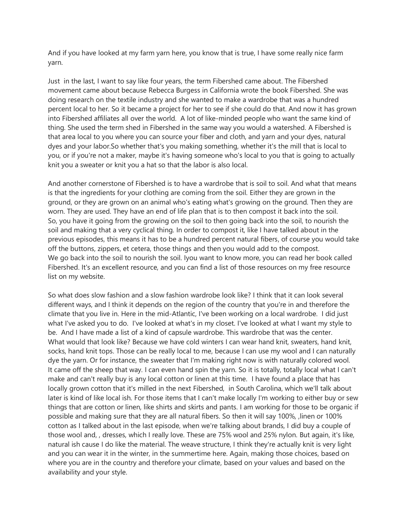And if you have looked at my farm yarn here, you know that is true, I have some really nice farm yarn.

Just in the last, I want to say like four years, the term Fibershed came about. The Fibershed movement came about because Rebecca Burgess in California wrote the book Fibershed. She was doing research on the textile industry and she wanted to make a wardrobe that was a hundred percent local to her. So it became a project for her to see if she could do that. And now it has grown into Fibershed affiliates all over the world. A lot of like-minded people who want the same kind of thing. She used the term shed in Fibershed in the same way you would a watershed. A Fibershed is that area local to you where you can source your fiber and cloth, and yarn and your dyes, natural dyes and your labor.So whether that's you making something, whether it's the mill that is local to you, or if you're not a maker, maybe it's having someone who's local to you that is going to actually knit you a sweater or knit you a hat so that the labor is also local.

And another cornerstone of Fibershed is to have a wardrobe that is soil to soil. And what that means is that the ingredients for your clothing are coming from the soil. Either they are grown in the ground, or they are grown on an animal who's eating what's growing on the ground. Then they are worn. They are used. They have an end of life plan that is to then compost it back into the soil. So, you have it going from the growing on the soil to then going back into the soil, to nourish the soil and making that a very cyclical thing. In order to compost it, like I have talked about in the previous episodes, this means it has to be a hundred percent natural fibers, of course you would take off the buttons, zippers, et cetera, those things and then you would add to the compost. We go back into the soil to nourish the soil. Iyou want to know more, you can read her book called Fibershed. It's an excellent resource, and you can find a list of those resources on my free resource list on my website.

So what does slow fashion and a slow fashion wardrobe look like? I think that it can look several different ways, and I think it depends on the region of the country that you're in and therefore the climate that you live in. Here in the mid-Atlantic, I've been working on a local wardrobe. I did just what I've asked you to do. I've looked at what's in my closet. I've looked at what I want my style to be. And I have made a list of a kind of capsule wardrobe. This wardrobe that was the center. What would that look like? Because we have cold winters I can wear hand knit, sweaters, hand knit, socks, hand knit tops. Those can be really local to me, because I can use my wool and I can naturally dye the yarn. Or for instance, the sweater that I'm making right now is with naturally colored wool. It came off the sheep that way. I can even hand spin the yarn. So it is totally, totally local what I can't make and can't really buy is any local cotton or linen at this time. I have found a place that has locally grown cotton that it's milled in the next Fibershed, in South Carolina, which we'll talk about later is kind of like local ish. For those items that I can't make locally I'm working to either buy or sew things that are cotton or linen, like shirts and skirts and pants. I am working for those to be organic if possible and making sure that they are all natural fibers. So then it will say 100%, ,linen or 100% cotton as I talked about in the last episode, when we're talking about brands, I did buy a couple of those wool and, , dresses, which I really love. These are 75% wool and 25% nylon. But again, it's like, natural ish cause I do like the material. The weave structure, I think they're actually knit is very light and you can wear it in the winter, in the summertime here. Again, making those choices, based on where you are in the country and therefore your climate, based on your values and based on the availability and your style.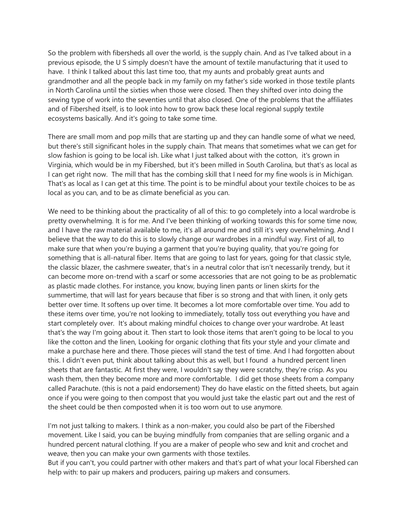So the problem with fibersheds all over the world, is the supply chain. And as I've talked about in a previous episode, the U S simply doesn't have the amount of textile manufacturing that it used to have. I think I talked about this last time too, that my aunts and probably great aunts and grandmother and all the people back in my family on my father's side worked in those textile plants in North Carolina until the sixties when those were closed. Then they shifted over into doing the sewing type of work into the seventies until that also closed. One of the problems that the affiliates and of Fibershed itself, is to look into how to grow back these local regional supply textile ecosystems basically. And it's going to take some time.

There are small mom and pop mills that are starting up and they can handle some of what we need, but there's still significant holes in the supply chain. That means that sometimes what we can get for slow fashion is going to be local ish. Like what I just talked about with the cotton, it's grown in Virginia, which would be in my Fibershed, but it's been milled in South Carolina, but that's as local as I can get right now. The mill that has the combing skill that I need for my fine wools is in Michigan. That's as local as I can get at this time. The point is to be mindful about your textile choices to be as local as you can, and to be as climate beneficial as you can.

We need to be thinking about the practicality of all of this: to go completely into a local wardrobe is pretty overwhelming. It is for me. And I've been thinking of working towards this for some time now, and I have the raw material available to me, it's all around me and still it's very overwhelming. And I believe that the way to do this is to slowly change our wardrobes in a mindful way. First of all, to make sure that when you're buying a garment that you're buying quality, that you're going for something that is all-natural fiber. Items that are going to last for years, going for that classic style, the classic blazer, the cashmere sweater, that's in a neutral color that isn't necessarily trendy, but it can become more on-trend with a scarf or some accessories that are not going to be as problematic as plastic made clothes. For instance, you know, buying linen pants or linen skirts for the summertime, that will last for years because that fiber is so strong and that with linen, it only gets better over time. It softens up over time. It becomes a lot more comfortable over time. You add to these items over time, you're not looking to immediately, totally toss out everything you have and start completely over. It's about making mindful choices to change over your wardrobe. At least that's the way I'm going about it. Then start to look those items that aren't going to be local to you like the cotton and the linen, Looking for organic clothing that fits your style and your climate and make a purchase here and there. Those pieces will stand the test of time. And I had forgotten about this. I didn't even put, think about talking about this as well, but I found a hundred percent linen sheets that are fantastic. At first they were, I wouldn't say they were scratchy, they're crisp. As you wash them, then they become more and more comfortable. I did get those sheets from a company called Parachute. (this is not a paid endorsement) They do have elastic on the fitted sheets, but again once if you were going to then compost that you would just take the elastic part out and the rest of the sheet could be then composted when it is too worn out to use anymore.

I'm not just talking to makers. I think as a non-maker, you could also be part of the Fibershed movement. Like I said, you can be buying mindfully from companies that are selling organic and a hundred percent natural clothing. If you are a maker of people who sew and knit and crochet and weave, then you can make your own garments with those textiles.

But if you can't, you could partner with other makers and that's part of what your local Fibershed can help with: to pair up makers and producers, pairing up makers and consumers.